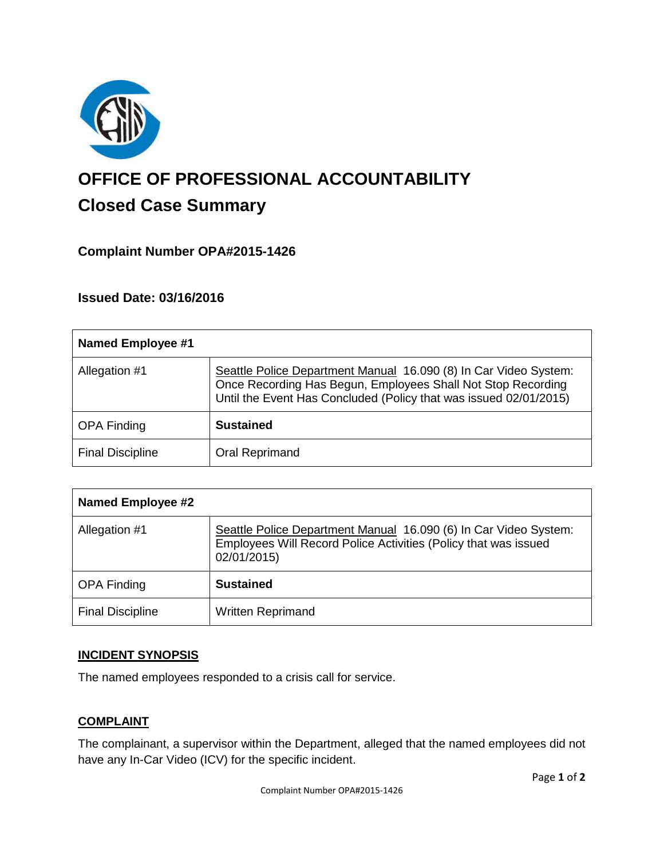

# **OFFICE OF PROFESSIONAL ACCOUNTABILITY Closed Case Summary**

# **Complaint Number OPA#2015-1426**

**Issued Date: 03/16/2016**

| <b>Named Employee #1</b> |                                                                                                                                                                                                       |
|--------------------------|-------------------------------------------------------------------------------------------------------------------------------------------------------------------------------------------------------|
| Allegation #1            | Seattle Police Department Manual 16.090 (8) In Car Video System:<br>Once Recording Has Begun, Employees Shall Not Stop Recording<br>Until the Event Has Concluded (Policy that was issued 02/01/2015) |
| <b>OPA Finding</b>       | <b>Sustained</b>                                                                                                                                                                                      |
| <b>Final Discipline</b>  | <b>Oral Reprimand</b>                                                                                                                                                                                 |

| <b>Named Employee #2</b> |                                                                                                                                                    |
|--------------------------|----------------------------------------------------------------------------------------------------------------------------------------------------|
| Allegation #1            | Seattle Police Department Manual 16.090 (6) In Car Video System:<br>Employees Will Record Police Activities (Policy that was issued<br>02/01/2015) |
| <b>OPA Finding</b>       | <b>Sustained</b>                                                                                                                                   |
| <b>Final Discipline</b>  | <b>Written Reprimand</b>                                                                                                                           |

## **INCIDENT SYNOPSIS**

The named employees responded to a crisis call for service.

## **COMPLAINT**

The complainant, a supervisor within the Department, alleged that the named employees did not have any In-Car Video (ICV) for the specific incident.